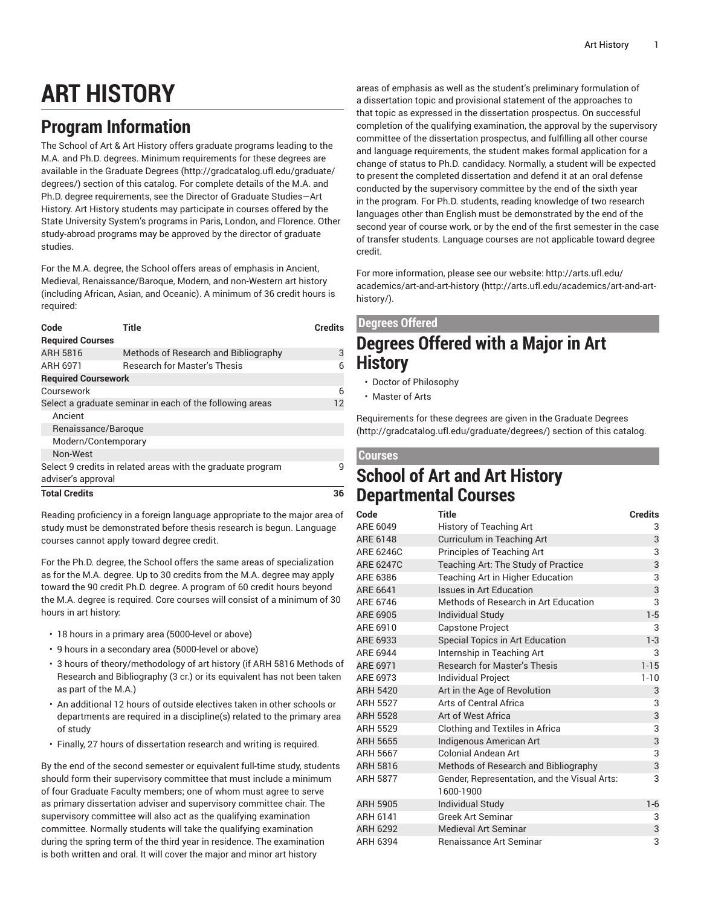# **ART HISTORY**

## **Program Information**

The School of Art & Art History offers graduate programs leading to the M.A. and Ph.D. degrees. Minimum requirements for these degrees are available in the [Graduate](http://gradcatalog.ufl.edu/graduate/degrees/) Degrees ([http://gradcatalog.ufl.edu/graduate/](http://gradcatalog.ufl.edu/graduate/degrees/) [degrees/\)](http://gradcatalog.ufl.edu/graduate/degrees/) section of this catalog. For complete details of the M.A. and Ph.D. degree requirements, see the Director of Graduate Studies—Art History. Art History students may participate in courses offered by the State University System's programs in Paris, London, and Florence. Other study-abroad programs may be approved by the director of graduate studies.

For the M.A. degree, the School offers areas of emphasis in Ancient, Medieval, Renaissance/Baroque, Modern, and non-Western art history (including African, Asian, and Oceanic). A minimum of 36 credit hours is required:

| Code                                                        | Title                                | <b>Credits</b> |
|-------------------------------------------------------------|--------------------------------------|----------------|
| <b>Required Courses</b>                                     |                                      |                |
| ARH 5816                                                    | Methods of Research and Bibliography | 3              |
| ARH 6971                                                    | <b>Research for Master's Thesis</b>  | 6              |
| <b>Required Coursework</b>                                  |                                      |                |
| Coursework                                                  |                                      | 6              |
| Select a graduate seminar in each of the following areas    |                                      | 12             |
| Ancient                                                     |                                      |                |
| Renaissance/Baroque                                         |                                      |                |
| Modern/Contemporary                                         |                                      |                |
| Non-West                                                    |                                      |                |
| Select 9 credits in related areas with the graduate program | q                                    |                |
| adviser's approval                                          |                                      |                |
| <b>Total Credits</b>                                        | 36                                   |                |

Reading proficiency in a foreign language appropriate to the major area of study must be demonstrated before thesis research is begun. Language courses cannot apply toward degree credit.

For the Ph.D. degree, the School offers the same areas of specialization as for the M.A. degree. Up to 30 credits from the M.A. degree may apply toward the 90 credit Ph.D. degree. A program of 60 credit hours beyond the M.A. degree is required. Core courses will consist of a minimum of 30 hours in art history:

- 18 hours in a primary area (5000-level or above)
- 9 hours in a secondary area (5000-level or above)
- 3 hours of theory/methodology of art history (if ARH 5816 Methods of Research and Bibliography (3 cr.) or its equivalent has not been taken as part of the M.A.)
- An additional 12 hours of outside electives taken in other schools or departments are required in a discipline(s) related to the primary area of study
- Finally, 27 hours of dissertation research and writing is required.

By the end of the second semester or equivalent full-time study, students should form their supervisory committee that must include a minimum of four Graduate Faculty members; one of whom must agree to serve as primary dissertation adviser and supervisory committee chair. The supervisory committee will also act as the qualifying examination committee. Normally students will take the qualifying examination during the spring term of the third year in residence. The examination is both written and oral. It will cover the major and minor art history

areas of emphasis as well as the student's preliminary formulation of a dissertation topic and provisional statement of the approaches to that topic as expressed in the dissertation prospectus. On successful completion of the qualifying examination, the approval by the supervisory committee of the dissertation prospectus, and fulfilling all other course and language requirements, the student makes formal application for a change of status to Ph.D. candidacy. Normally, a student will be expected to present the completed dissertation and defend it at an oral defense conducted by the supervisory committee by the end of the sixth year in the program. For Ph.D. students, reading knowledge of two research languages other than English must be demonstrated by the end of the second year of course work, or by the end of the first semester in the case of transfer students. Language courses are not applicable toward degree credit.

For more information, please see our website: [http://arts.ufl.edu/](http://arts.ufl.edu/academics/art-and-art-history/) [academics/art-and-art-history \(http://arts.ufl.edu/academics/art-and-art](http://arts.ufl.edu/academics/art-and-art-history/)[history/\)](http://arts.ufl.edu/academics/art-and-art-history/).

### **Degrees Offered**

### **Degrees Offered with a Major in Art History**

- Doctor of Philosophy
- Master of Arts

Requirements for these degrees are given in the [Graduate](http://gradcatalog.ufl.edu/graduate/degrees/) Degrees [\(http://gradcatalog.ufl.edu/graduate/degrees/](http://gradcatalog.ufl.edu/graduate/degrees/)) section of this catalog.

#### **Courses**

### **School of Art and Art History Departmental Courses**

| Code             | Title                                                     | <b>Credits</b> |
|------------------|-----------------------------------------------------------|----------------|
| ARE 6049         | <b>History of Teaching Art</b>                            | 3              |
| ARE 6148         | Curriculum in Teaching Art                                | 3              |
| <b>ARE 6246C</b> | Principles of Teaching Art                                | 3              |
| <b>ARE 6247C</b> | Teaching Art: The Study of Practice                       | 3              |
| ARE 6386         | Teaching Art in Higher Education                          | 3              |
| ARE 6641         | <b>Issues in Art Education</b>                            | 3              |
| ARE 6746         | Methods of Research in Art Education                      | 3              |
| ARE 6905         | <b>Individual Study</b>                                   | $1 - 5$        |
| ARE 6910         | Capstone Project                                          | 3              |
| ARE 6933         | Special Topics in Art Education                           | $1 - 3$        |
| ARE 6944         | Internship in Teaching Art                                | 3              |
| ARE 6971         | <b>Research for Master's Thesis</b>                       | $1 - 15$       |
| ARE 6973         | Individual Project                                        | $1 - 10$       |
| <b>ARH 5420</b>  | Art in the Age of Revolution                              | 3              |
| <b>ARH 5527</b>  | Arts of Central Africa                                    | 3              |
| <b>ARH 5528</b>  | Art of West Africa                                        | 3              |
| <b>ARH 5529</b>  | Clothing and Textiles in Africa                           | 3              |
| ARH 5655         | Indigenous American Art                                   | 3              |
| ARH 5667         | <b>Colonial Andean Art</b>                                | 3              |
| ARH 5816         | Methods of Research and Bibliography                      | 3              |
| <b>ARH 5877</b>  | Gender, Representation, and the Visual Arts:<br>1600-1900 | 3              |
| <b>ARH 5905</b>  | <b>Individual Study</b>                                   | $1 - 6$        |
| ARH 6141         | <b>Greek Art Seminar</b>                                  | 3              |
| <b>ARH 6292</b>  | Medieval Art Seminar                                      | 3              |
| ARH 6394         | Renaissance Art Seminar                                   | 3              |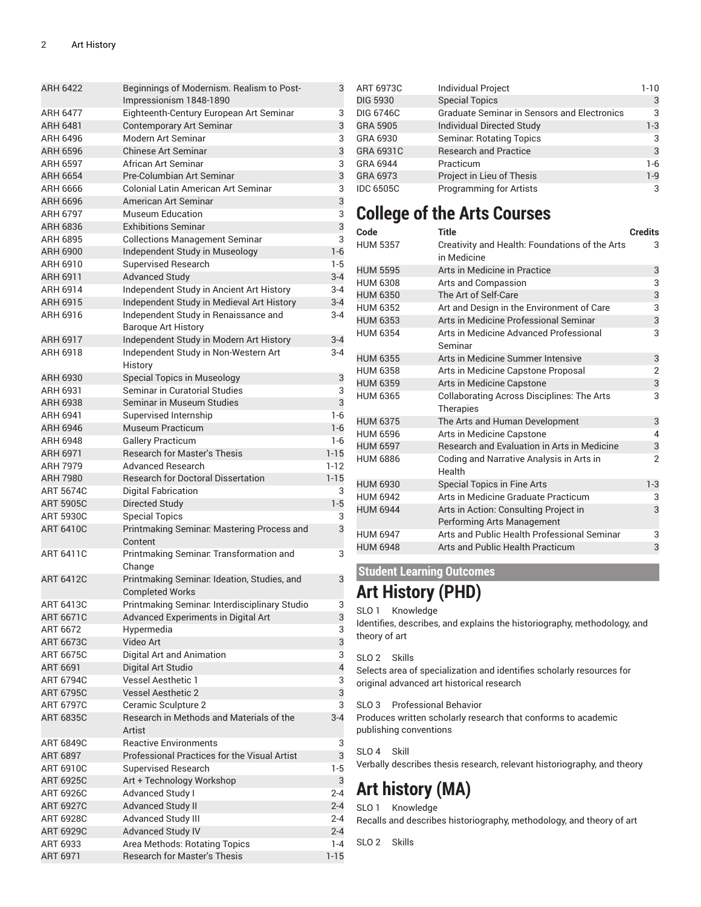| <b>ARH 6422</b>  | Beginnings of Modernism. Realism to Post-<br>Impressionism 1848-1890    | 3              |
|------------------|-------------------------------------------------------------------------|----------------|
| <b>ARH 6477</b>  | Eighteenth-Century European Art Seminar                                 | 3              |
| ARH 6481         | <b>Contemporary Art Seminar</b>                                         | 3              |
| ARH 6496         | Modern Art Seminar                                                      | 3              |
| <b>ARH 6596</b>  | <b>Chinese Art Seminar</b>                                              | 3              |
| <b>ARH 6597</b>  | African Art Seminar                                                     | 3              |
| ARH 6654         | Pre-Columbian Art Seminar                                               | 3              |
| ARH 6666         | Colonial Latin American Art Seminar                                     | 3              |
| ARH 6696         | American Art Seminar                                                    | 3              |
| ARH 6797         | Museum Education                                                        | 3              |
| ARH 6836         | <b>Exhibitions Seminar</b>                                              | 3              |
| ARH 6895         | <b>Collections Management Seminar</b>                                   | 3              |
| ARH 6900         | Independent Study in Museology                                          | $1 - 6$        |
| ARH 6910         | <b>Supervised Research</b>                                              | $1-5$          |
| ARH 6911         | <b>Advanced Study</b>                                                   | $3 - 4$        |
| ARH 6914         | Independent Study in Ancient Art History                                | $3 - 4$        |
| ARH 6915         | Independent Study in Medieval Art History                               | $3 - 4$        |
| ARH 6916         | Independent Study in Renaissance and                                    | $3 - 4$        |
|                  | <b>Baroque Art History</b>                                              |                |
| <b>ARH 6917</b>  | Independent Study in Modern Art History                                 | $3 - 4$        |
| ARH 6918         | Independent Study in Non-Western Art                                    | $3 - 4$        |
|                  | History                                                                 |                |
| ARH 6930         | <b>Special Topics in Museology</b>                                      | 3              |
| ARH 6931         | Seminar in Curatorial Studies                                           | 3              |
| ARH 6938         | Seminar in Museum Studies                                               | 3              |
| ARH 6941         | Supervised Internship                                                   | $1 - 6$        |
| ARH 6946         | <b>Museum Practicum</b>                                                 | $1 - 6$        |
| ARH 6948         | <b>Gallery Practicum</b>                                                | $1-6$          |
| ARH 6971         | <b>Research for Master's Thesis</b>                                     | $1 - 15$       |
| ARH 7979         | <b>Advanced Research</b>                                                | $1 - 12$       |
| <b>ARH 7980</b>  | <b>Research for Doctoral Dissertation</b>                               | $1 - 15$       |
| <b>ART 5674C</b> | <b>Digital Fabrication</b>                                              | 3              |
| <b>ART 5905C</b> | Directed Study                                                          | $1-5$          |
| <b>ART 5930C</b> | <b>Special Topics</b>                                                   | 3              |
| <b>ART 6410C</b> | Printmaking Seminar: Mastering Process and<br>Content                   | 3              |
| ART 6411C        | Printmaking Seminar: Transformation and                                 | 3              |
|                  | Change                                                                  |                |
| <b>ART 6412C</b> | Printmaking Seminar. Ideation, Studies, and                             | 3              |
| ART 6413C        | <b>Completed Works</b><br>Printmaking Seminar: Interdisciplinary Studio |                |
| <b>ART 6671C</b> |                                                                         | 3<br>3         |
| ART 6672         | Advanced Experiments in Digital Art<br>Hypermedia                       | 3              |
| <b>ART 6673C</b> | Video Art                                                               | 3              |
| ART 6675C        | Digital Art and Animation                                               | 3              |
| ART 6691         | Digital Art Studio                                                      | $\overline{4}$ |
| ART 6794C        | Vessel Aesthetic 1                                                      | 3              |
| <b>ART 6795C</b> | <b>Vessel Aesthetic 2</b>                                               | 3              |
| <b>ART 6797C</b> | Ceramic Sculpture 2                                                     | 3              |
| <b>ART 6835C</b> | Research in Methods and Materials of the                                | $3-4$          |
|                  | Artist                                                                  |                |
| <b>ART 6849C</b> | <b>Reactive Environments</b>                                            | 3              |
| ART 6897         | Professional Practices for the Visual Artist                            | 3              |
| ART 6910C        | Supervised Research                                                     | $1-5$          |
| <b>ART 6925C</b> | Art + Technology Workshop                                               | 3              |
| <b>ART 6926C</b> | Advanced Study I                                                        | $2 - 4$        |
| <b>ART 6927C</b> | <b>Advanced Study II</b>                                                | $2 - 4$        |
| <b>ART 6928C</b> | <b>Advanced Study III</b>                                               | 2-4            |
| <b>ART 6929C</b> | <b>Advanced Study IV</b>                                                | $2 - 4$        |
| ART 6933         | Area Methods: Rotating Topics                                           | $1 - 4$        |
| ART 6971         | Research for Master's Thesis                                            | $1 - 15$       |

| ART 6973C        | <b>Individual Project</b>                          | $1-10$  |
|------------------|----------------------------------------------------|---------|
| <b>DIG 5930</b>  | <b>Special Topics</b>                              | 3       |
| <b>DIG 6746C</b> | <b>Graduate Seminar in Sensors and Electronics</b> | 3       |
| GRA 5905         | <b>Individual Directed Study</b>                   | $1-3$   |
| GRA 6930         | <b>Seminar: Rotating Topics</b>                    | 3       |
| GRA 6931C        | <b>Research and Practice</b>                       | 3       |
| GRA 6944         | Practicum                                          | $1-6$   |
| GRA 6973         | Project in Lieu of Thesis                          | $1 - 9$ |
| <b>IDC 6505C</b> | <b>Programming for Artists</b>                     | 3       |

### **College of the Arts Courses**

| Code            | <b>Title</b>                                                  | <b>Credits</b> |
|-----------------|---------------------------------------------------------------|----------------|
| <b>HUM 5357</b> | Creativity and Health: Foundations of the Arts<br>in Medicine | 3              |
| <b>HUM 5595</b> | Arts in Medicine in Practice                                  | 3              |
| <b>HUM 6308</b> | Arts and Compassion                                           | 3              |
| <b>HUM 6350</b> | The Art of Self-Care                                          | 3              |
| <b>HUM 6352</b> | Art and Design in the Environment of Care                     | 3              |
| <b>HUM 6353</b> | Arts in Medicine Professional Seminar                         | 3              |
| <b>HUM 6354</b> | Arts in Medicine Advanced Professional<br>Seminar             | 3              |
| <b>HUM 6355</b> | Arts in Medicine Summer Intensive                             | 3              |
| <b>HUM 6358</b> | Arts in Medicine Capstone Proposal                            | $\overline{2}$ |
| <b>HUM 6359</b> | Arts in Medicine Capstone                                     | 3              |
| <b>HUM 6365</b> | <b>Collaborating Across Disciplines: The Arts</b>             | $\overline{3}$ |
|                 | <b>Therapies</b>                                              |                |
| <b>HUM 6375</b> | The Arts and Human Development                                | 3              |
| <b>HUM 6596</b> | Arts in Medicine Capstone                                     | 4              |
| <b>HUM 6597</b> | <b>Research and Evaluation in Arts in Medicine</b>            | 3              |
| <b>HUM 6886</b> | Coding and Narrative Analysis in Arts in<br>Health            | $\overline{2}$ |
| <b>HUM 6930</b> | <b>Special Topics in Fine Arts</b>                            | $1-3$          |
| <b>HUM 6942</b> | Arts in Medicine Graduate Practicum                           | 3              |
| <b>HUM 6944</b> | Arts in Action: Consulting Project in                         | 3              |
|                 | Performing Arts Management                                    |                |
| <b>HUM 6947</b> | Arts and Public Health Professional Seminar                   | 3              |
| <b>HUM 6948</b> | Arts and Public Health Practicum                              | 3              |

#### **Student Learning Outcomes**

# **Art History (PHD)**

#### SLO 1 Knowledge

Identifies, describes, and explains the historiography, methodology, and theory of art

SLO 2 Skills

Selects area of specialization and identifies scholarly resources for original advanced art historical research

SLO 3 Professional Behavior

Produces written scholarly research that conforms to academic publishing conventions

SLO 4 Skill

Verbally describes thesis research, relevant historiography, and theory

# **Art history (MA)**

SLO 1 Knowledge Recalls and describes historiography, methodology, and theory of art

SLO 2 Skills